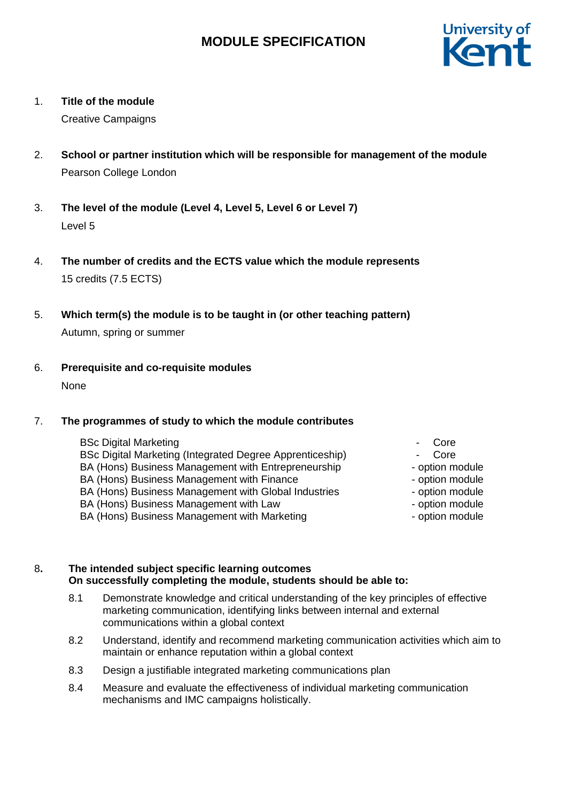

1. **Title of the module**

Creative Campaigns

- 2. **School or partner institution which will be responsible for management of the module** Pearson College London
- 3. **The level of the module (Level 4, Level 5, Level 6 or Level 7)** Level 5
- 4. **The number of credits and the ECTS value which the module represents** 15 credits (7.5 ECTS)
- 5. **Which term(s) the module is to be taught in (or other teaching pattern)** Autumn, spring or summer
- 6. **Prerequisite and co-requisite modules** None

## 7. **The programmes of study to which the module contributes**

- BSc Digital Marketing BSc Digital Marketing (Integrated Degree Apprenticeship) - Core BA (Hons) Business Management with Entrepreneurship BA (Hons) Business Management with Finance BA (Hons) Business Management with Global Industries - The option module BA (Hons) Business Management with Law - Continued by the option module BA (Hons) Business Management with Marketing example and the option module
	- Core
	-
	- option module
	- option module
	-
	-
	-

## 8**. The intended subject specific learning outcomes On successfully completing the module, students should be able to:**

- 8.1 Demonstrate knowledge and critical understanding of the key principles of effective marketing communication, identifying links between internal and external communications within a global context
- 8.2 Understand, identify and recommend marketing communication activities which aim to maintain or enhance reputation within a global context
- 8.3 Design a justifiable integrated marketing communications plan
- 8.4 Measure and evaluate the effectiveness of individual marketing communication mechanisms and IMC campaigns holistically.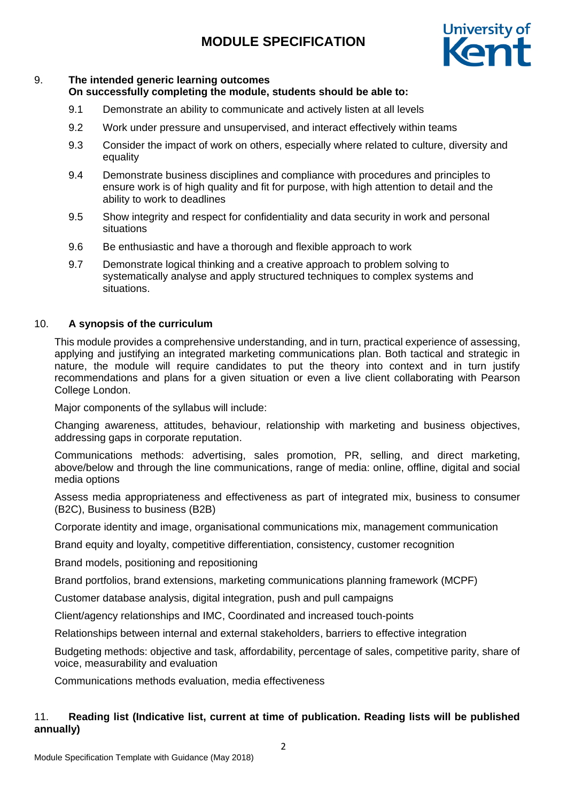

#### 9. **The intended generic learning outcomes On successfully completing the module, students should be able to:**

- 9.1 Demonstrate an ability to communicate and actively listen at all levels
- 9.2 Work under pressure and unsupervised, and interact effectively within teams
- 9.3 Consider the impact of work on others, especially where related to culture, diversity and equality
- 9.4 Demonstrate business disciplines and compliance with procedures and principles to ensure work is of high quality and fit for purpose, with high attention to detail and the ability to work to deadlines
- 9.5 Show integrity and respect for confidentiality and data security in work and personal situations
- 9.6 Be enthusiastic and have a thorough and flexible approach to work
- 9.7 Demonstrate logical thinking and a creative approach to problem solving to systematically analyse and apply structured techniques to complex systems and situations.

## 10. **A synopsis of the curriculum**

This module provides a comprehensive understanding, and in turn, practical experience of assessing, applying and justifying an integrated marketing communications plan. Both tactical and strategic in nature, the module will require candidates to put the theory into context and in turn justify recommendations and plans for a given situation or even a live client collaborating with Pearson College London.

Major components of the syllabus will include:

Changing awareness, attitudes, behaviour, relationship with marketing and business objectives, addressing gaps in corporate reputation.

Communications methods: advertising, sales promotion, PR, selling, and direct marketing, above/below and through the line communications, range of media: online, offline, digital and social media options

Assess media appropriateness and effectiveness as part of integrated mix, business to consumer (B2C), Business to business (B2B)

Corporate identity and image, organisational communications mix, management communication

Brand equity and loyalty, competitive differentiation, consistency, customer recognition

Brand models, positioning and repositioning

Brand portfolios, brand extensions, marketing communications planning framework (MCPF)

Customer database analysis, digital integration, push and pull campaigns

Client/agency relationships and IMC, Coordinated and increased touch-points

Relationships between internal and external stakeholders, barriers to effective integration

Budgeting methods: objective and task, affordability, percentage of sales, competitive parity, share of voice, measurability and evaluation

Communications methods evaluation, media effectiveness

## 11. **Reading list (Indicative list, current at time of publication. Reading lists will be published annually)**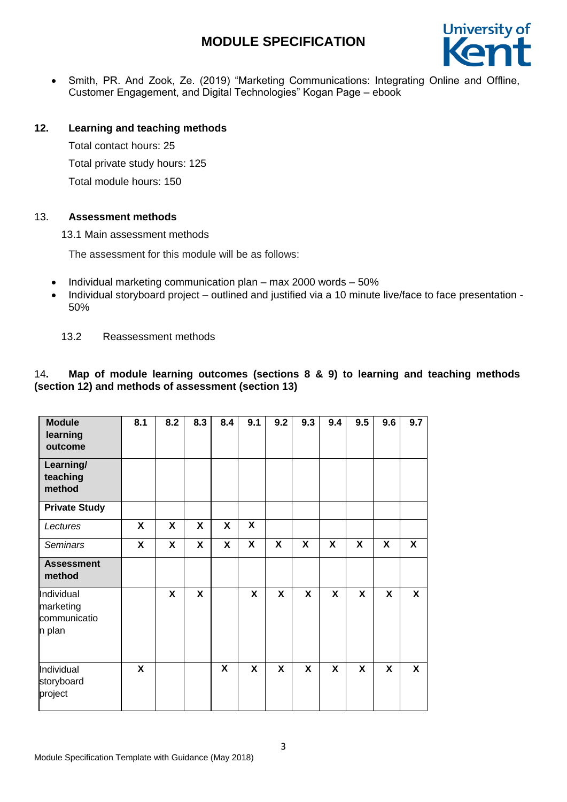

 Smith, PR. And Zook, Ze. (2019) "Marketing Communications: Integrating Online and Offline, Customer Engagement, and Digital Technologies" Kogan Page – ebook

### **12. Learning and teaching methods**

Total contact hours: 25 Total private study hours: 125 Total module hours: 150

#### 13. **Assessment methods**

13.1 Main assessment methods

The assessment for this module will be as follows:

- Individual marketing communication plan max 2000 words 50%
- Individual storyboard project outlined and justified via a 10 minute live/face to face presentation -50%

#### 13.2 Reassessment methods

### 14**. Map of module learning outcomes (sections 8 & 9) to learning and teaching methods (section 12) and methods of assessment (section 13)**

| <b>Module</b><br>learning<br>outcome              | 8.1          | 8.2 | 8.3          | 8.4          | 9.1                       | 9.2 | 9.3 | 9.4                       | 9.5 | 9.6 | 9.7 |
|---------------------------------------------------|--------------|-----|--------------|--------------|---------------------------|-----|-----|---------------------------|-----|-----|-----|
| Learning/<br>teaching<br>method                   |              |     |              |              |                           |     |     |                           |     |     |     |
| <b>Private Study</b>                              |              |     |              |              |                           |     |     |                           |     |     |     |
| Lectures                                          | X            | X   | X            | X            | $\boldsymbol{\mathsf{X}}$ |     |     |                           |     |     |     |
| <b>Seminars</b>                                   | $\mathsf{x}$ | X   | $\mathsf{X}$ | $\mathsf{x}$ | X                         | X   | X   | X                         | X   | X   | X   |
| <b>Assessment</b><br>method                       |              |     |              |              |                           |     |     |                           |     |     |     |
| Individual<br>marketing<br>communicatio<br>n plan |              | X   | X            |              | X                         | X   | X   | X                         | X   | X   | X   |
| Individual<br>storyboard<br>project               | X            |     |              | X            | X                         | X   | X   | $\boldsymbol{\mathsf{X}}$ | X   | X   | X   |